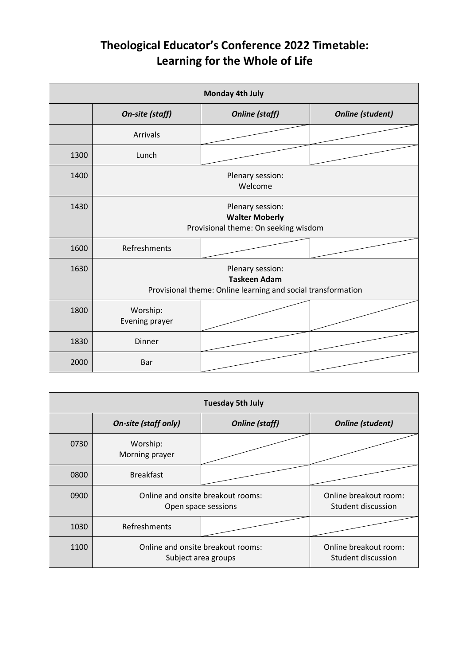## **Theological Educator's Conference 2022 Timetable: Learning for the Whole of Life**

| Monday 4th July |                                                                                                         |                       |                         |  |  |
|-----------------|---------------------------------------------------------------------------------------------------------|-----------------------|-------------------------|--|--|
|                 | On-site (staff)                                                                                         | <b>Online (staff)</b> | <b>Online (student)</b> |  |  |
|                 | <b>Arrivals</b>                                                                                         |                       |                         |  |  |
| 1300            | Lunch                                                                                                   |                       |                         |  |  |
| 1400            | Plenary session:<br>Welcome                                                                             |                       |                         |  |  |
| 1430            | Plenary session:<br><b>Walter Moberly</b><br>Provisional theme: On seeking wisdom                       |                       |                         |  |  |
| 1600            | Refreshments                                                                                            |                       |                         |  |  |
| 1630            | Plenary session:<br><b>Taskeen Adam</b><br>Provisional theme: Online learning and social transformation |                       |                         |  |  |
| 1800            | Worship:<br>Evening prayer                                                                              |                       |                         |  |  |
| 1830            | <b>Dinner</b>                                                                                           |                       |                         |  |  |
| 2000            | Bar                                                                                                     |                       |                         |  |  |

| <b>Tuesday 5th July</b> |                                                          |                       |                                             |  |  |
|-------------------------|----------------------------------------------------------|-----------------------|---------------------------------------------|--|--|
|                         | <b>On-site (staff only)</b>                              | <b>Online</b> (staff) | <b>Online (student)</b>                     |  |  |
| 0730                    | Worship:<br>Morning prayer                               |                       |                                             |  |  |
| 0800                    | <b>Breakfast</b>                                         |                       |                                             |  |  |
| 0900                    | Online and onsite breakout rooms:<br>Open space sessions |                       | Online breakout room:<br>Student discussion |  |  |
| 1030                    | Refreshments                                             |                       |                                             |  |  |
| 1100                    | Online and onsite breakout rooms:<br>Subject area groups |                       | Online breakout room:<br>Student discussion |  |  |